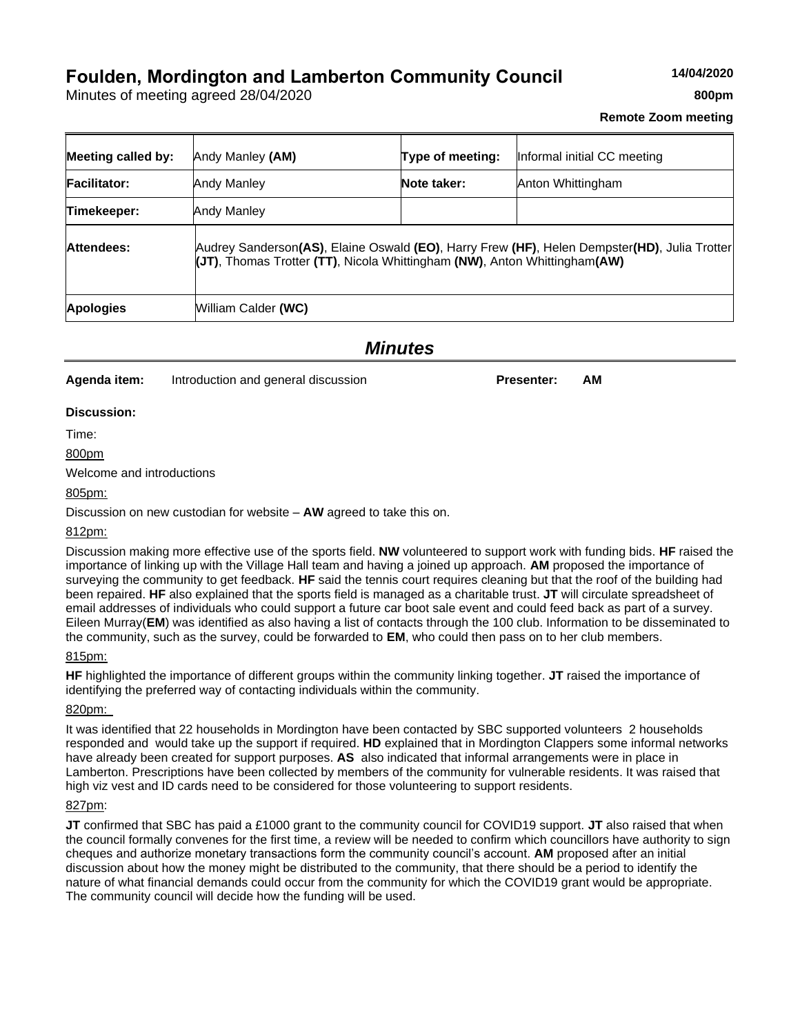# **Foulden, Mordington and Lamberton Community Council**

Minutes of meeting agreed 28/04/2020

# **Remote Zoom meeting**

| <b>Meeting called by:</b> | Andy Manley (AM)                                                                                                                                                          | Type of meeting: | Informal initial CC meeting |  |  |
|---------------------------|---------------------------------------------------------------------------------------------------------------------------------------------------------------------------|------------------|-----------------------------|--|--|
| <b>Facilitator:</b>       | Andy Manley                                                                                                                                                               | Note taker:      | Anton Whittingham           |  |  |
| Timekeeper:               | Andy Manley                                                                                                                                                               |                  |                             |  |  |
| Attendees:                | Audrey Sanderson(AS), Elaine Oswald (EO), Harry Frew (HF), Helen Dempster(HD), Julia Trotter<br>(JT), Thomas Trotter (TT), Nicola Whittingham (NW), Anton Whittingham(AW) |                  |                             |  |  |
| <b>Apologies</b>          | William Calder (WC)                                                                                                                                                       |                  |                             |  |  |

*Minutes*

**Agenda item:** Introduction and general discussion **Presenter:** AM

#### **Discussion:**

Time:

800pm

Welcome and introductions

805pm:

Discussion on new custodian for website – **AW** agreed to take this on.

812pm:

Discussion making more effective use of the sports field. **NW** volunteered to support work with funding bids. **HF** raised the importance of linking up with the Village Hall team and having a joined up approach. **AM** proposed the importance of surveying the community to get feedback. **HF** said the tennis court requires cleaning but that the roof of the building had been repaired. **HF** also explained that the sports field is managed as a charitable trust. **JT** will circulate spreadsheet of email addresses of individuals who could support a future car boot sale event and could feed back as part of a survey. Eileen Murray(**EM**) was identified as also having a list of contacts through the 100 club. Information to be disseminated to the community, such as the survey, could be forwarded to **EM**, who could then pass on to her club members.

#### 815pm:

**HF** highlighted the importance of different groups within the community linking together. **JT** raised the importance of identifying the preferred way of contacting individuals within the community.

#### 820pm:

It was identified that 22 households in Mordington have been contacted by SBC supported volunteers 2 households responded and would take up the support if required. **HD** explained that in Mordington Clappers some informal networks have already been created for support purposes. **AS** also indicated that informal arrangements were in place in Lamberton. Prescriptions have been collected by members of the community for vulnerable residents. It was raised that high viz vest and ID cards need to be considered for those volunteering to support residents.

#### 827pm:

**JT** confirmed that SBC has paid a £1000 grant to the community council for COVID19 support. **JT** also raised that when the council formally convenes for the first time, a review will be needed to confirm which councillors have authority to sign cheques and authorize monetary transactions form the community council's account. **AM** proposed after an initial discussion about how the money might be distributed to the community, that there should be a period to identify the nature of what financial demands could occur from the community for which the COVID19 grant would be appropriate. The community council will decide how the funding will be used.

**14/04/2020**

**800pm**